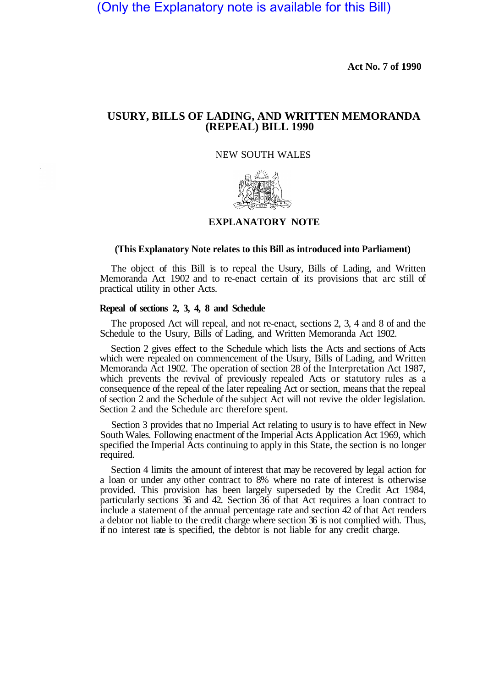(Only the Explanatory note is available for this Bill)

**Act No. 7 of 1990**

# **USURY, BILLS OF LADING, AND WRITTEN MEMORANDA (REPEAL) BILL 1990**

### NEW SOUTH WALES



## **EXPLANATORY NOTE**

#### **(This Explanatory Note relates to this Bill as introduced into Parliament)**

The object of this Bill is to repeal the Usury, Bills of Lading, and Written Memoranda Act 1902 and to re-enact certain of its provisions that arc still of practical utility in other Acts.

### **Repeal of sections 2, 3, 4, 8 and Schedule**

The proposed Act will repeal, and not re-enact, sections 2, 3, 4 and 8 of and the Schedule to the Usury, Bills of Lading, and Written Memoranda Act 1902.

Section 2 gives effect to the Schedule which lists the Acts and sections of Acts which were repealed on commencement of the Usury, Bills of Lading, and Written Memoranda Act 1902. The operation of section 28 of the Interpretation Act 1987, which prevents the revival of previously repealed Acts or statutory rules as a consequence of the repeal of the later repealing Act or section, means that the repeal of section 2 and the Schedule of the subject Act will not revive the older Iegislation. Section 2 and the Schedule arc therefore spent.

Section 3 provides that no Imperial Act relating to usury is to have effect in New South Wales. Following enactment of the Imperial Acts Application Act 1969, which specified the Imperial Acts continuing to apply in this State, the section is no longer required.

Section 4 limits the amount of interest that may be recovered by legal action for a loan or under any other contract to 8% where no rate of interest is otherwise provided. This provision has been largely superseded by the Credit Act 1984, particularly sections 36 and 42. Section 36 of that Act requires a loan contract to include a statement of the annual percentage rate and section 42 of that Act renders a debtor not liable to the credit charge where section 36 is not complied with. Thus, if no interest rate is specified, the debtor is not liable for any credit charge.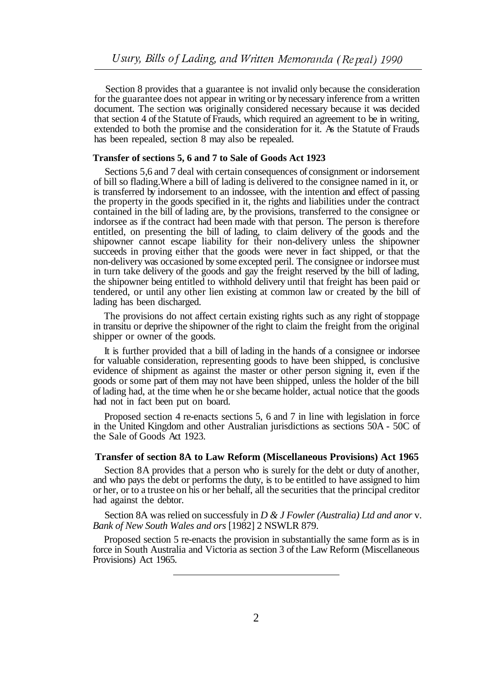Section 8 provides that a guarantee is not invalid only because the consideration for the guarantee does not appear in writing or by necessary inference from a written document. The section was originally considered necessary because it was decided that section 4 of the Statute of Frauds, which required an agreement to be in writing, extended to both the promise and the consideration for it. As the Statute of Frauds has been repealed, section 8 may also be repealed.

#### **Transfer of sections 5, 6 and 7 to Sale of Goods Act 1923**

Sections 5, 6 and 7 deal with certain consequences of consignment or indorsement of bill so flading.Where a bill of lading is delivered to the consignee named in it, or is transferred by indorsement to an indossee, with the intention and effect of passing the property in the goods specified in it, the rights and liabilities under the contract contained in the bill of lading are, by the provisions, transferred to the consignee or indorsee as if the contract had been made with that person. The person is therefore entitled, on presenting the bill of lading, to claim delivery of the goods and the shipowner cannot escape liability for their non-delivery unless the shipowner succeeds in proving either that the goods were never in fact shipped, or that the non-delivery was occasioned by some excepted peril. The consignee or indorsee must in turn take delivery of the goods and gay the freight reserved by the bill of lading, the shipowner being entitled to withhold delivery until that freight has been paid or tendered, or until any other lien existing at common law or created by the bill of lading has been discharged.

The provisions do not affect certain existing rights such as any right of stoppage in transitu or deprive the shipowner of the right to claim the freight from the original shipper or owner of the goods.

It is further provided that a bill of lading in the hands of a consignee or indorsee for valuable consideration, representing goods to have been shipped, is conclusive evidence of shipment as against the master or other person signing it, even if the goods or some part of them may not have been shipped, unless the holder of the bill of lading had, at the time when he or she became holder, actual notice that the goods had not in fact been put on board.

Proposed section 4 re-enacts sections 5, 6 and 7 in line with legislation in force in the United Kingdom and other Australian jurisdictions as sections 50A - 50C of the Sale of Goods Act 1923.

#### **Transfer of section 8A to Law Reform (Miscellaneous Provisions) Act 1965**

Section 8A provides that a person who is surely for the debt or duty of another, and who pays the debt or performs the duty, is to be entitled to have assigned to him or her, or to a trustee on his or her behalf, all the securities that the principal creditor had against the debtor.

Section 8A was relied on successfuly in *D & J Fowler (Australia) Ltd and anor* v. *Bank of New South Wales and ors* [1982] 2 NSWLR 879.

Proposed section 5 re-enacts the provision in substantially the same form as is in force in South Australia and Victoria as section 3 of the Law Reform (Miscellaneous Provisions) Act 1965.